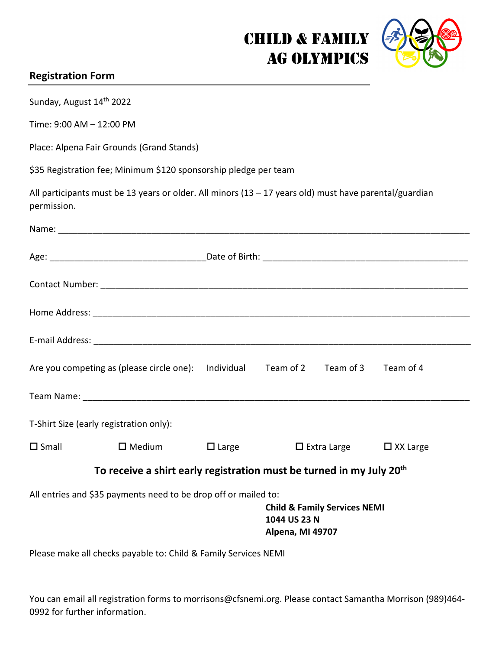## Child & Family Ag Olympics



## **Registration Form**

| Sunday, August 14th 2022                                                                                                                       |                                                                                  |                      |  |                    |                 |  |
|------------------------------------------------------------------------------------------------------------------------------------------------|----------------------------------------------------------------------------------|----------------------|--|--------------------|-----------------|--|
| Time: 9:00 AM - 12:00 PM                                                                                                                       |                                                                                  |                      |  |                    |                 |  |
| Place: Alpena Fair Grounds (Grand Stands)                                                                                                      |                                                                                  |                      |  |                    |                 |  |
| \$35 Registration fee; Minimum \$120 sponsorship pledge per team                                                                               |                                                                                  |                      |  |                    |                 |  |
| All participants must be 13 years or older. All minors $(13 - 17$ years old) must have parental/guardian<br>permission.                        |                                                                                  |                      |  |                    |                 |  |
|                                                                                                                                                |                                                                                  |                      |  |                    |                 |  |
|                                                                                                                                                |                                                                                  |                      |  |                    |                 |  |
|                                                                                                                                                |                                                                                  |                      |  |                    |                 |  |
|                                                                                                                                                |                                                                                  |                      |  |                    |                 |  |
|                                                                                                                                                |                                                                                  |                      |  |                    |                 |  |
|                                                                                                                                                | Are you competing as (please circle one):                                        | Individual Team of 2 |  | Team of 3          | Team of 4       |  |
|                                                                                                                                                |                                                                                  |                      |  |                    |                 |  |
| T-Shirt Size (early registration only):                                                                                                        |                                                                                  |                      |  |                    |                 |  |
| $\square$ Small                                                                                                                                | $\square$ Medium                                                                 | $\Box$ Large         |  | $\Box$ Extra Large | $\Box$ XX Large |  |
|                                                                                                                                                | To receive a shirt early registration must be turned in my July 20 <sup>th</sup> |                      |  |                    |                 |  |
| All entries and \$35 payments need to be drop off or mailed to:<br><b>Child &amp; Family Services NEMI</b><br>1044 US 23 N<br>Alpena, MI 49707 |                                                                                  |                      |  |                    |                 |  |
| Please make all checks payable to: Child & Family Services NEMI                                                                                |                                                                                  |                      |  |                    |                 |  |

You can email all registration forms to morrisons@cfsnemi.org. Please contact Samantha Morrison (989)464- 0992 for further information.